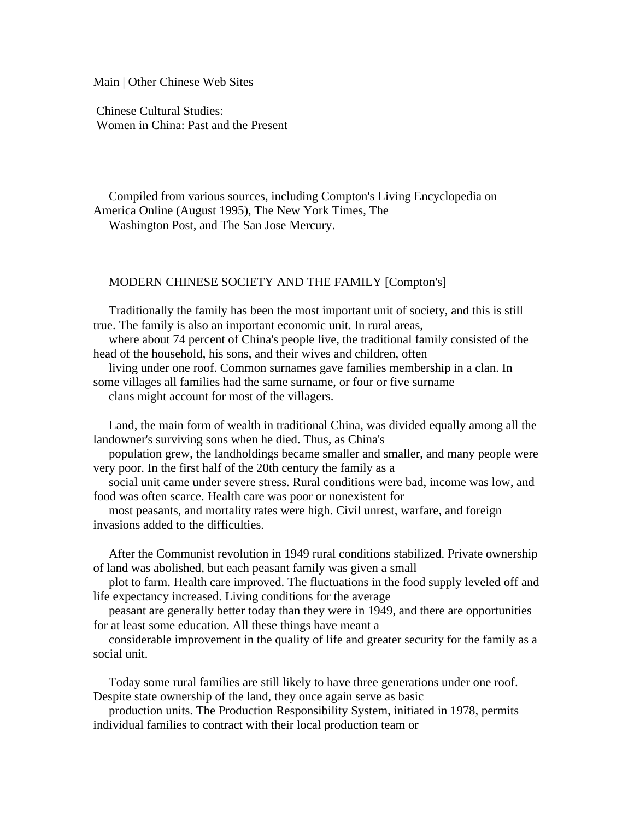Main | Other Chinese Web Sites

 Chinese Cultural Studies: Women in China: Past and the Present

 Compiled from various sources, including Compton's Living Encyclopedia on America Online (August 1995), The New York Times, The Washington Post, and The San Jose Mercury.

## MODERN CHINESE SOCIETY AND THE FAMILY [Compton's]

 Traditionally the family has been the most important unit of society, and this is still true. The family is also an important economic unit. In rural areas,

 where about 74 percent of China's people live, the traditional family consisted of the head of the household, his sons, and their wives and children, often

 living under one roof. Common surnames gave families membership in a clan. In some villages all families had the same surname, or four or five surname clans might account for most of the villagers.

 Land, the main form of wealth in traditional China, was divided equally among all the landowner's surviving sons when he died. Thus, as China's

 population grew, the landholdings became smaller and smaller, and many people were very poor. In the first half of the 20th century the family as a

 social unit came under severe stress. Rural conditions were bad, income was low, and food was often scarce. Health care was poor or nonexistent for

 most peasants, and mortality rates were high. Civil unrest, warfare, and foreign invasions added to the difficulties.

 After the Communist revolution in 1949 rural conditions stabilized. Private ownership of land was abolished, but each peasant family was given a small

 plot to farm. Health care improved. The fluctuations in the food supply leveled off and life expectancy increased. Living conditions for the average

 peasant are generally better today than they were in 1949, and there are opportunities for at least some education. All these things have meant a

 considerable improvement in the quality of life and greater security for the family as a social unit.

 Today some rural families are still likely to have three generations under one roof. Despite state ownership of the land, they once again serve as basic

 production units. The Production Responsibility System, initiated in 1978, permits individual families to contract with their local production team or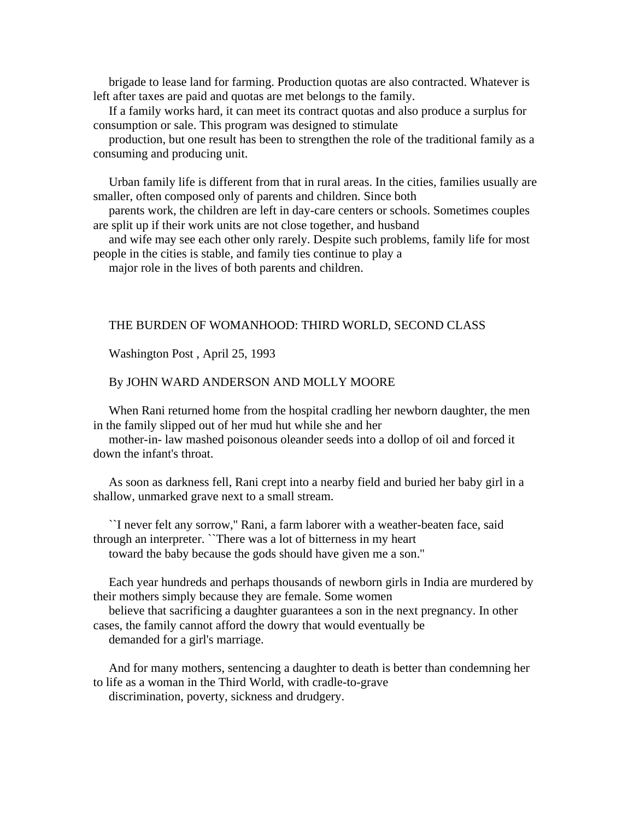brigade to lease land for farming. Production quotas are also contracted. Whatever is left after taxes are paid and quotas are met belongs to the family.

 If a family works hard, it can meet its contract quotas and also produce a surplus for consumption or sale. This program was designed to stimulate

 production, but one result has been to strengthen the role of the traditional family as a consuming and producing unit.

 Urban family life is different from that in rural areas. In the cities, families usually are smaller, often composed only of parents and children. Since both

 parents work, the children are left in day-care centers or schools. Sometimes couples are split up if their work units are not close together, and husband

 and wife may see each other only rarely. Despite such problems, family life for most people in the cities is stable, and family ties continue to play a

major role in the lives of both parents and children.

## THE BURDEN OF WOMANHOOD: THIRD WORLD, SECOND CLASS

Washington Post , April 25, 1993

## By JOHN WARD ANDERSON AND MOLLY MOORE

 When Rani returned home from the hospital cradling her newborn daughter, the men in the family slipped out of her mud hut while she and her

 mother-in- law mashed poisonous oleander seeds into a dollop of oil and forced it down the infant's throat.

 As soon as darkness fell, Rani crept into a nearby field and buried her baby girl in a shallow, unmarked grave next to a small stream.

 ``I never felt any sorrow,'' Rani, a farm laborer with a weather-beaten face, said through an interpreter. ``There was a lot of bitterness in my heart toward the baby because the gods should have given me a son.''

 Each year hundreds and perhaps thousands of newborn girls in India are murdered by their mothers simply because they are female. Some women

 believe that sacrificing a daughter guarantees a son in the next pregnancy. In other cases, the family cannot afford the dowry that would eventually be

demanded for a girl's marriage.

 And for many mothers, sentencing a daughter to death is better than condemning her to life as a woman in the Third World, with cradle-to-grave discrimination, poverty, sickness and drudgery.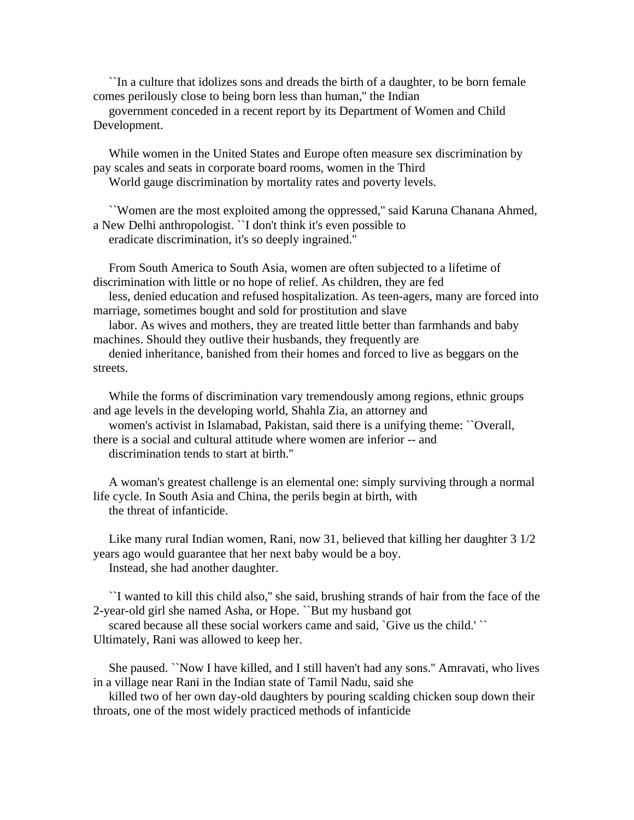``In a culture that idolizes sons and dreads the birth of a daughter, to be born female comes perilously close to being born less than human,'' the Indian

 government conceded in a recent report by its Department of Women and Child Development.

 While women in the United States and Europe often measure sex discrimination by pay scales and seats in corporate board rooms, women in the Third World gauge discrimination by mortality rates and poverty levels.

 ``Women are the most exploited among the oppressed,'' said Karuna Chanana Ahmed, a New Delhi anthropologist. ``I don't think it's even possible to eradicate discrimination, it's so deeply ingrained.''

 From South America to South Asia, women are often subjected to a lifetime of discrimination with little or no hope of relief. As children, they are fed

 less, denied education and refused hospitalization. As teen-agers, many are forced into marriage, sometimes bought and sold for prostitution and slave

 labor. As wives and mothers, they are treated little better than farmhands and baby machines. Should they outlive their husbands, they frequently are

 denied inheritance, banished from their homes and forced to live as beggars on the streets.

 While the forms of discrimination vary tremendously among regions, ethnic groups and age levels in the developing world, Shahla Zia, an attorney and

 women's activist in Islamabad, Pakistan, said there is a unifying theme: ``Overall, there is a social and cultural attitude where women are inferior -- and

discrimination tends to start at birth.''

 A woman's greatest challenge is an elemental one: simply surviving through a normal life cycle. In South Asia and China, the perils begin at birth, with the threat of infanticide.

 Like many rural Indian women, Rani, now 31, believed that killing her daughter 3 1/2 years ago would guarantee that her next baby would be a boy. Instead, she had another daughter.

 ``I wanted to kill this child also,'' she said, brushing strands of hair from the face of the 2-year-old girl she named Asha, or Hope. ``But my husband got

 scared because all these social workers came and said, `Give us the child.' `` Ultimately, Rani was allowed to keep her.

 She paused. ``Now I have killed, and I still haven't had any sons.'' Amravati, who lives in a village near Rani in the Indian state of Tamil Nadu, said she

 killed two of her own day-old daughters by pouring scalding chicken soup down their throats, one of the most widely practiced methods of infanticide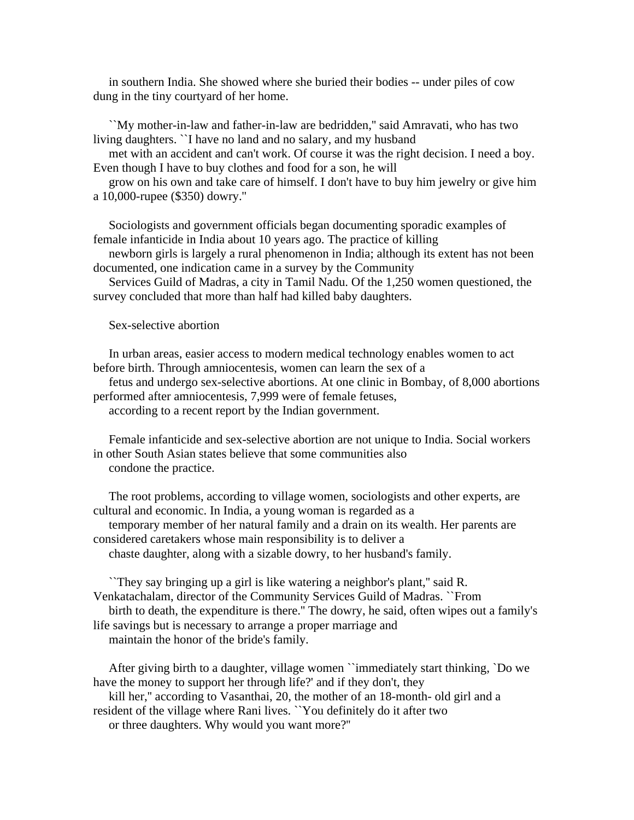in southern India. She showed where she buried their bodies -- under piles of cow dung in the tiny courtyard of her home.

 ``My mother-in-law and father-in-law are bedridden,'' said Amravati, who has two living daughters. ``I have no land and no salary, and my husband

 met with an accident and can't work. Of course it was the right decision. I need a boy. Even though I have to buy clothes and food for a son, he will

 grow on his own and take care of himself. I don't have to buy him jewelry or give him a 10,000-rupee (\$350) dowry.''

 Sociologists and government officials began documenting sporadic examples of female infanticide in India about 10 years ago. The practice of killing

 newborn girls is largely a rural phenomenon in India; although its extent has not been documented, one indication came in a survey by the Community

 Services Guild of Madras, a city in Tamil Nadu. Of the 1,250 women questioned, the survey concluded that more than half had killed baby daughters.

Sex-selective abortion

 In urban areas, easier access to modern medical technology enables women to act before birth. Through amniocentesis, women can learn the sex of a

 fetus and undergo sex-selective abortions. At one clinic in Bombay, of 8,000 abortions performed after amniocentesis, 7,999 were of female fetuses,

according to a recent report by the Indian government.

 Female infanticide and sex-selective abortion are not unique to India. Social workers in other South Asian states believe that some communities also condone the practice.

 The root problems, according to village women, sociologists and other experts, are cultural and economic. In India, a young woman is regarded as a temporary member of her natural family and a drain on its wealth. Her parents are considered caretakers whose main responsibility is to deliver a

chaste daughter, along with a sizable dowry, to her husband's family.

 ``They say bringing up a girl is like watering a neighbor's plant,'' said R. Venkatachalam, director of the Community Services Guild of Madras. ``From birth to death, the expenditure is there.'' The dowry, he said, often wipes out a family's life savings but is necessary to arrange a proper marriage and maintain the honor of the bride's family.

 After giving birth to a daughter, village women ``immediately start thinking, `Do we have the money to support her through life?' and if they don't, they

 kill her,'' according to Vasanthai, 20, the mother of an 18-month- old girl and a resident of the village where Rani lives. ``You definitely do it after two or three daughters. Why would you want more?''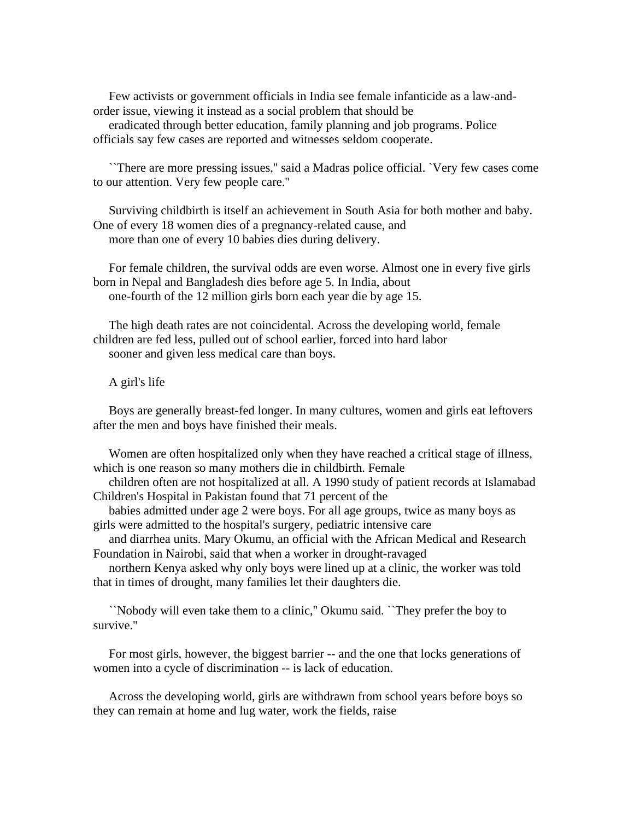Few activists or government officials in India see female infanticide as a law-andorder issue, viewing it instead as a social problem that should be

 eradicated through better education, family planning and job programs. Police officials say few cases are reported and witnesses seldom cooperate.

 ``There are more pressing issues,'' said a Madras police official. `Very few cases come to our attention. Very few people care.''

 Surviving childbirth is itself an achievement in South Asia for both mother and baby. One of every 18 women dies of a pregnancy-related cause, and more than one of every 10 babies dies during delivery.

 For female children, the survival odds are even worse. Almost one in every five girls born in Nepal and Bangladesh dies before age 5. In India, about one-fourth of the 12 million girls born each year die by age 15.

 The high death rates are not coincidental. Across the developing world, female children are fed less, pulled out of school earlier, forced into hard labor sooner and given less medical care than boys.

A girl's life

 Boys are generally breast-fed longer. In many cultures, women and girls eat leftovers after the men and boys have finished their meals.

 Women are often hospitalized only when they have reached a critical stage of illness, which is one reason so many mothers die in childbirth. Female

 children often are not hospitalized at all. A 1990 study of patient records at Islamabad Children's Hospital in Pakistan found that 71 percent of the

 babies admitted under age 2 were boys. For all age groups, twice as many boys as girls were admitted to the hospital's surgery, pediatric intensive care

 and diarrhea units. Mary Okumu, an official with the African Medical and Research Foundation in Nairobi, said that when a worker in drought-ravaged

 northern Kenya asked why only boys were lined up at a clinic, the worker was told that in times of drought, many families let their daughters die.

 ``Nobody will even take them to a clinic,'' Okumu said. ``They prefer the boy to survive.''

 For most girls, however, the biggest barrier -- and the one that locks generations of women into a cycle of discrimination -- is lack of education.

 Across the developing world, girls are withdrawn from school years before boys so they can remain at home and lug water, work the fields, raise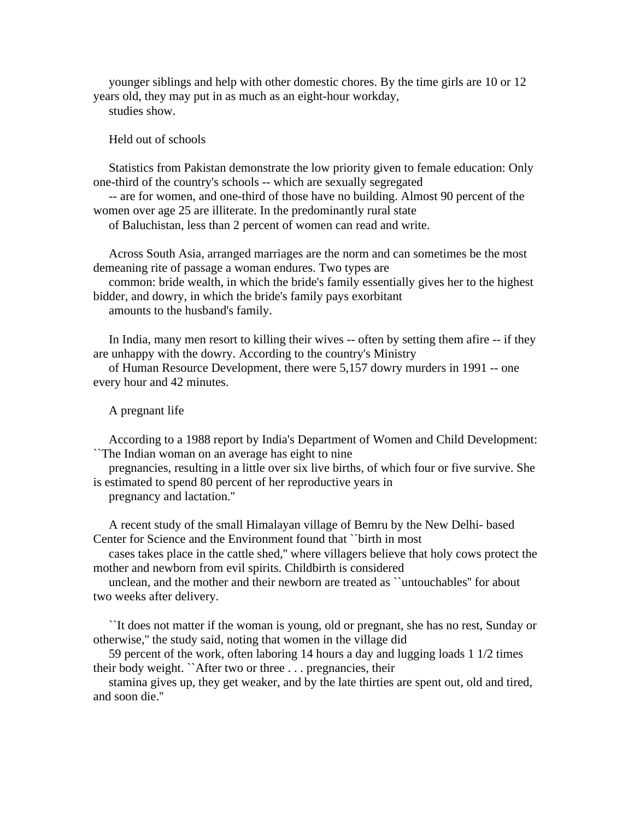younger siblings and help with other domestic chores. By the time girls are 10 or 12 years old, they may put in as much as an eight-hour workday,

studies show.

Held out of schools

 Statistics from Pakistan demonstrate the low priority given to female education: Only one-third of the country's schools -- which are sexually segregated

 -- are for women, and one-third of those have no building. Almost 90 percent of the women over age 25 are illiterate. In the predominantly rural state

of Baluchistan, less than 2 percent of women can read and write.

 Across South Asia, arranged marriages are the norm and can sometimes be the most demeaning rite of passage a woman endures. Two types are

 common: bride wealth, in which the bride's family essentially gives her to the highest bidder, and dowry, in which the bride's family pays exorbitant

amounts to the husband's family.

 In India, many men resort to killing their wives -- often by setting them afire -- if they are unhappy with the dowry. According to the country's Ministry

 of Human Resource Development, there were 5,157 dowry murders in 1991 -- one every hour and 42 minutes.

A pregnant life

 According to a 1988 report by India's Department of Women and Child Development: ``The Indian woman on an average has eight to nine

 pregnancies, resulting in a little over six live births, of which four or five survive. She is estimated to spend 80 percent of her reproductive years in

pregnancy and lactation.''

 A recent study of the small Himalayan village of Bemru by the New Delhi- based Center for Science and the Environment found that ``birth in most

 cases takes place in the cattle shed,'' where villagers believe that holy cows protect the mother and newborn from evil spirits. Childbirth is considered

 unclean, and the mother and their newborn are treated as ``untouchables'' for about two weeks after delivery.

 ``It does not matter if the woman is young, old or pregnant, she has no rest, Sunday or otherwise,'' the study said, noting that women in the village did

 59 percent of the work, often laboring 14 hours a day and lugging loads 1 1/2 times their body weight. ``After two or three . . . pregnancies, their

 stamina gives up, they get weaker, and by the late thirties are spent out, old and tired, and soon die.''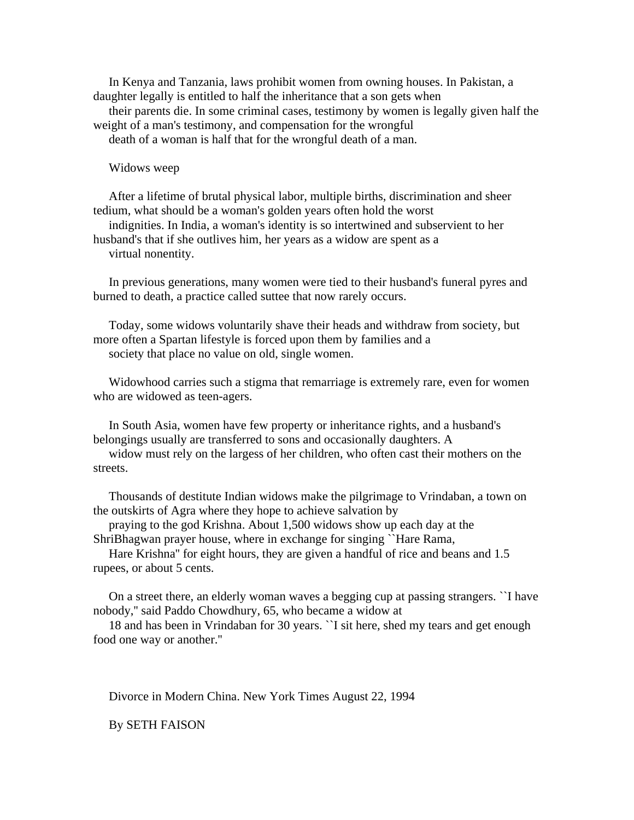In Kenya and Tanzania, laws prohibit women from owning houses. In Pakistan, a daughter legally is entitled to half the inheritance that a son gets when their parents die. In some criminal cases, testimony by women is legally given half the weight of a man's testimony, and compensation for the wrongful death of a woman is half that for the wrongful death of a man.

Widows weep

 After a lifetime of brutal physical labor, multiple births, discrimination and sheer tedium, what should be a woman's golden years often hold the worst

 indignities. In India, a woman's identity is so intertwined and subservient to her husband's that if she outlives him, her years as a widow are spent as a virtual nonentity.

 In previous generations, many women were tied to their husband's funeral pyres and burned to death, a practice called suttee that now rarely occurs.

 Today, some widows voluntarily shave their heads and withdraw from society, but more often a Spartan lifestyle is forced upon them by families and a society that place no value on old, single women.

 Widowhood carries such a stigma that remarriage is extremely rare, even for women who are widowed as teen-agers.

 In South Asia, women have few property or inheritance rights, and a husband's belongings usually are transferred to sons and occasionally daughters. A

 widow must rely on the largess of her children, who often cast their mothers on the streets.

 Thousands of destitute Indian widows make the pilgrimage to Vrindaban, a town on the outskirts of Agra where they hope to achieve salvation by

 praying to the god Krishna. About 1,500 widows show up each day at the ShriBhagwan prayer house, where in exchange for singing ``Hare Rama,

 Hare Krishna'' for eight hours, they are given a handful of rice and beans and 1.5 rupees, or about 5 cents.

 On a street there, an elderly woman waves a begging cup at passing strangers. ``I have nobody,'' said Paddo Chowdhury, 65, who became a widow at

 18 and has been in Vrindaban for 30 years. ``I sit here, shed my tears and get enough food one way or another.''

Divorce in Modern China. New York Times August 22, 1994

By SETH FAISON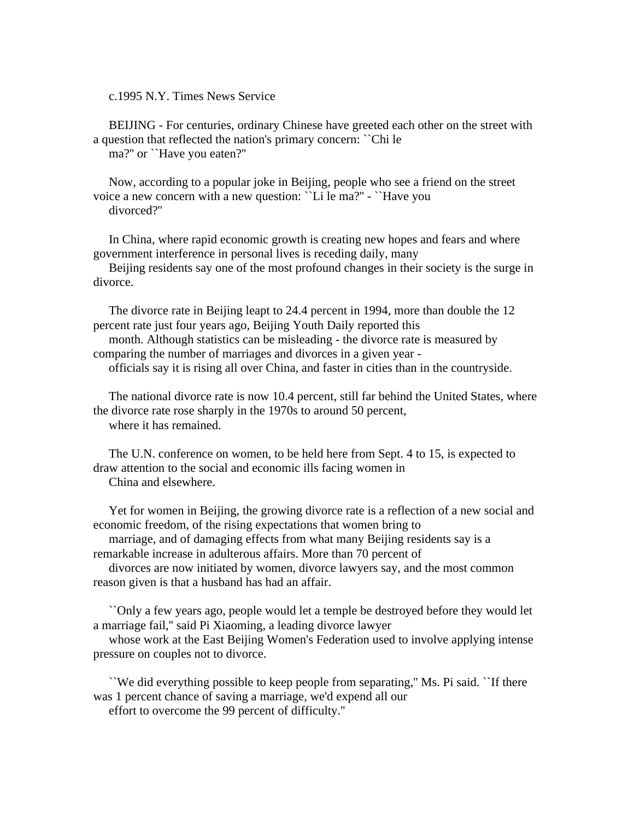c.1995 N.Y. Times News Service

 BEIJING - For centuries, ordinary Chinese have greeted each other on the street with a question that reflected the nation's primary concern: ``Chi le ma?'' or ``Have you eaten?''

 Now, according to a popular joke in Beijing, people who see a friend on the street voice a new concern with a new question: ``Li le ma?'' - ``Have you divorced?''

 In China, where rapid economic growth is creating new hopes and fears and where government interference in personal lives is receding daily, many

 Beijing residents say one of the most profound changes in their society is the surge in divorce.

 The divorce rate in Beijing leapt to 24.4 percent in 1994, more than double the 12 percent rate just four years ago, Beijing Youth Daily reported this

 month. Although statistics can be misleading - the divorce rate is measured by comparing the number of marriages and divorces in a given year -

officials say it is rising all over China, and faster in cities than in the countryside.

 The national divorce rate is now 10.4 percent, still far behind the United States, where the divorce rate rose sharply in the 1970s to around 50 percent, where it has remained.

 The U.N. conference on women, to be held here from Sept. 4 to 15, is expected to draw attention to the social and economic ills facing women in China and elsewhere.

 Yet for women in Beijing, the growing divorce rate is a reflection of a new social and economic freedom, of the rising expectations that women bring to

 marriage, and of damaging effects from what many Beijing residents say is a remarkable increase in adulterous affairs. More than 70 percent of

 divorces are now initiated by women, divorce lawyers say, and the most common reason given is that a husband has had an affair.

 ``Only a few years ago, people would let a temple be destroyed before they would let a marriage fail,'' said Pi Xiaoming, a leading divorce lawyer

 whose work at the East Beijing Women's Federation used to involve applying intense pressure on couples not to divorce.

 ``We did everything possible to keep people from separating,'' Ms. Pi said. ``If there was 1 percent chance of saving a marriage, we'd expend all our effort to overcome the 99 percent of difficulty.''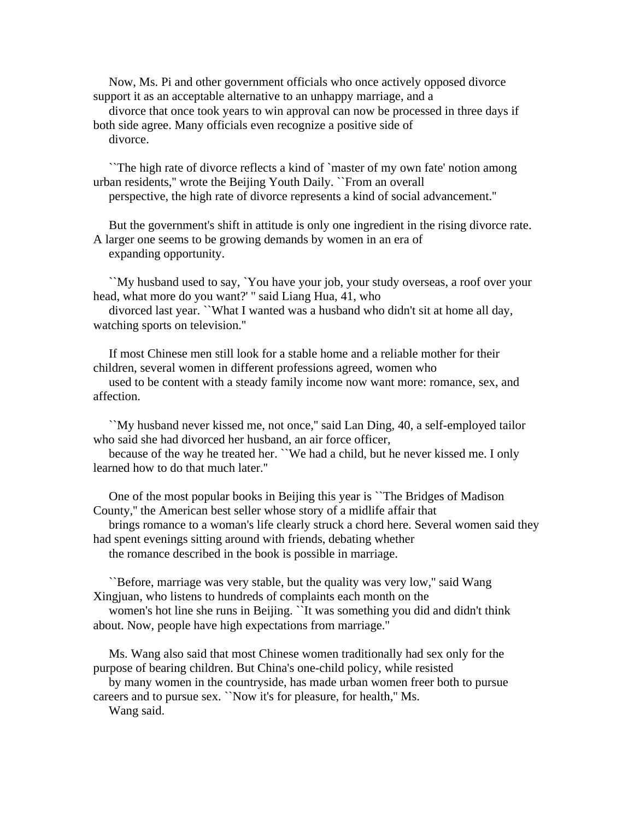Now, Ms. Pi and other government officials who once actively opposed divorce support it as an acceptable alternative to an unhappy marriage, and a

 divorce that once took years to win approval can now be processed in three days if both side agree. Many officials even recognize a positive side of divorce.

 ``The high rate of divorce reflects a kind of `master of my own fate' notion among urban residents,'' wrote the Beijing Youth Daily. ``From an overall perspective, the high rate of divorce represents a kind of social advancement.''

 But the government's shift in attitude is only one ingredient in the rising divorce rate. A larger one seems to be growing demands by women in an era of expanding opportunity.

 ``My husband used to say, `You have your job, your study overseas, a roof over your head, what more do you want?' '' said Liang Hua, 41, who

 divorced last year. ``What I wanted was a husband who didn't sit at home all day, watching sports on television.''

 If most Chinese men still look for a stable home and a reliable mother for their children, several women in different professions agreed, women who

 used to be content with a steady family income now want more: romance, sex, and affection.

 ``My husband never kissed me, not once,'' said Lan Ding, 40, a self-employed tailor who said she had divorced her husband, an air force officer.

 because of the way he treated her. ``We had a child, but he never kissed me. I only learned how to do that much later.''

 One of the most popular books in Beijing this year is ``The Bridges of Madison County,'' the American best seller whose story of a midlife affair that

 brings romance to a woman's life clearly struck a chord here. Several women said they had spent evenings sitting around with friends, debating whether

the romance described in the book is possible in marriage.

 ``Before, marriage was very stable, but the quality was very low,'' said Wang Xingjuan, who listens to hundreds of complaints each month on the

 women's hot line she runs in Beijing. ``It was something you did and didn't think about. Now, people have high expectations from marriage.''

 Ms. Wang also said that most Chinese women traditionally had sex only for the purpose of bearing children. But China's one-child policy, while resisted

 by many women in the countryside, has made urban women freer both to pursue careers and to pursue sex. ``Now it's for pleasure, for health,'' Ms.

Wang said.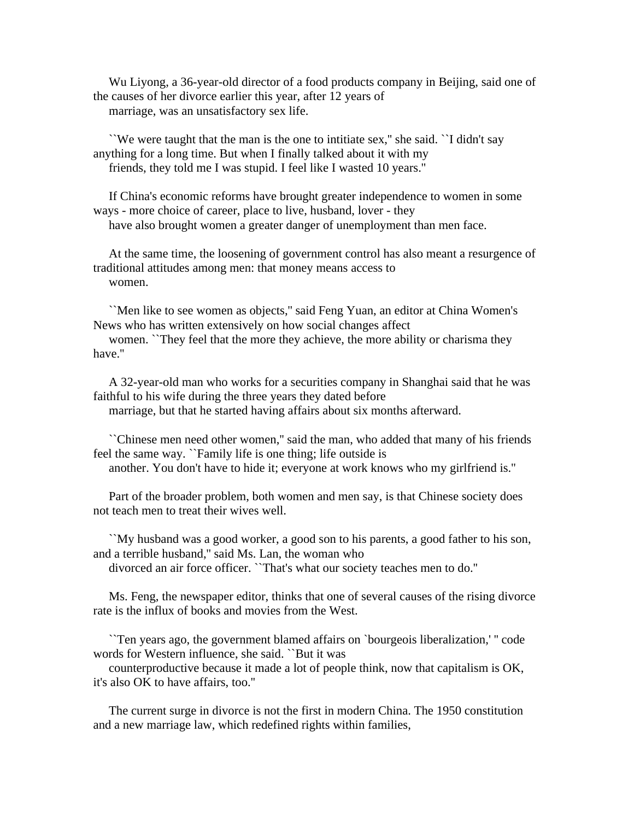Wu Liyong, a 36-year-old director of a food products company in Beijing, said one of the causes of her divorce earlier this year, after 12 years of marriage, was an unsatisfactory sex life.

 ``We were taught that the man is the one to intitiate sex,'' she said. ``I didn't say anything for a long time. But when I finally talked about it with my friends, they told me I was stupid. I feel like I wasted 10 years.''

 If China's economic reforms have brought greater independence to women in some ways - more choice of career, place to live, husband, lover - they have also brought women a greater danger of unemployment than men face.

 At the same time, the loosening of government control has also meant a resurgence of traditional attitudes among men: that money means access to women.

 ``Men like to see women as objects,'' said Feng Yuan, an editor at China Women's News who has written extensively on how social changes affect

women. ``They feel that the more they achieve, the more ability or charisma they have.''

 A 32-year-old man who works for a securities company in Shanghai said that he was faithful to his wife during the three years they dated before

marriage, but that he started having affairs about six months afterward.

 ``Chinese men need other women,'' said the man, who added that many of his friends feel the same way. ``Family life is one thing; life outside is

another. You don't have to hide it; everyone at work knows who my girlfriend is.''

 Part of the broader problem, both women and men say, is that Chinese society does not teach men to treat their wives well.

 ``My husband was a good worker, a good son to his parents, a good father to his son, and a terrible husband,'' said Ms. Lan, the woman who

divorced an air force officer. ``That's what our society teaches men to do.''

 Ms. Feng, the newspaper editor, thinks that one of several causes of the rising divorce rate is the influx of books and movies from the West.

 ``Ten years ago, the government blamed affairs on `bourgeois liberalization,' '' code words for Western influence, she said. ``But it was

 counterproductive because it made a lot of people think, now that capitalism is OK, it's also OK to have affairs, too.''

 The current surge in divorce is not the first in modern China. The 1950 constitution and a new marriage law, which redefined rights within families,